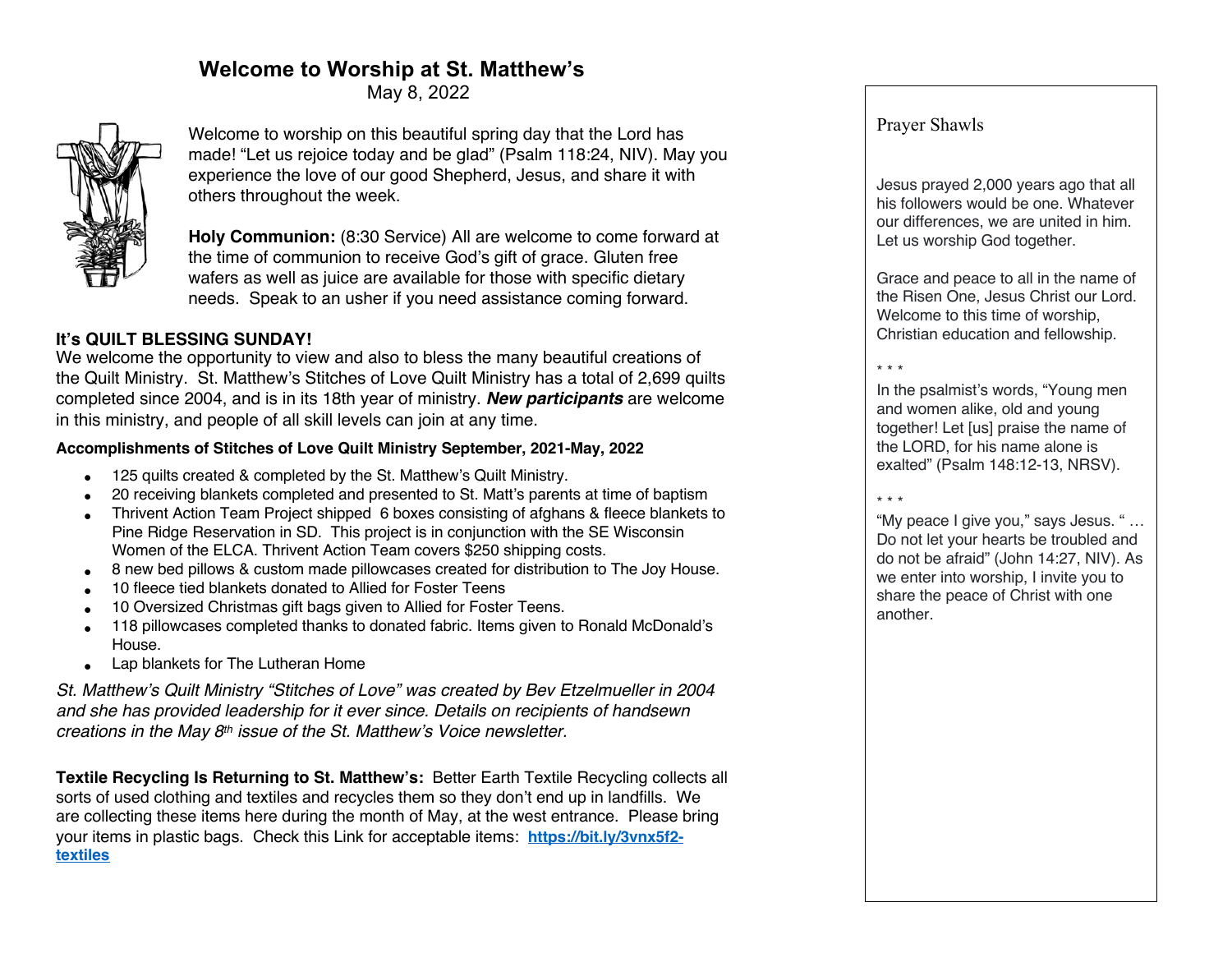# **Welcome to Worship at St. Matthew's**

May 8, 2022



Welcome to worship on this beautiful spring day that the Lord has made! "Let us rejoice today and be glad" (Psalm 118:24, NIV). May you experience the love of our good Shepherd, Jesus, and share it with others throughout the week.

**Holy Communion:** (8:30 Service) All are welcome to come forward at the time of communion to receive God's gift of grace. Gluten free wafers as well as juice are available for those with specific dietary needs. Speak to an usher if you need assistance coming forward.

# **It's QUILT BLESSING SUNDAY!**

We welcome the opportunity to view and also to bless the many beautiful creations of the Quilt Ministry. St. Matthew's Stitches of Love Quilt Ministry has a total of 2,699 quilts completed since 2004, and is in its 18th year of ministry. *New participants* are welcome in this ministry, and people of all skill levels can join at any time.

### **Accomplishments of Stitches of Love Quilt Ministry September, 2021-May, 2022**

- 125 quilts created & completed by the St. Matthew's Quilt Ministry.
- 20 receiving blankets completed and presented to St. Matt's parents at time of baptism
- Thrivent Action Team Project shipped 6 boxes consisting of afghans & fleece blankets to Pine Ridge Reservation in SD. This project is in conjunction with the SE Wisconsin Women of the ELCA. Thrivent Action Team covers \$250 shipping costs.
- 8 new bed pillows & custom made pillowcases created for distribution to The Joy House.
- 10 fleece tied blankets donated to Allied for Foster Teens
- 10 Oversized Christmas gift bags given to Allied for Foster Teens.
- 118 pillowcases completed thanks to donated fabric. Items given to Ronald McDonald's House.
- Lap blankets for The Lutheran Home

*St. Matthew's Quilt Ministry "Stitches of Love" was created by Bev Etzelmueller in 2004 and she has provided leadership for it ever since. Details on recipients of handsewn creations in the May 8th issue of the St. Matthew's Voice newsletter.*

**Textile Recycling Is Returning to St. Matthew's:** Better Earth Textile Recycling collects all sorts of used clothing and textiles and recycles them so they don't end up in landfills. We are collecting these items here during the month of May, at the west entrance. Please bring your items in plastic bags. Check this Link for acceptable items: **https://bit.ly/3vnx5f2 textiles**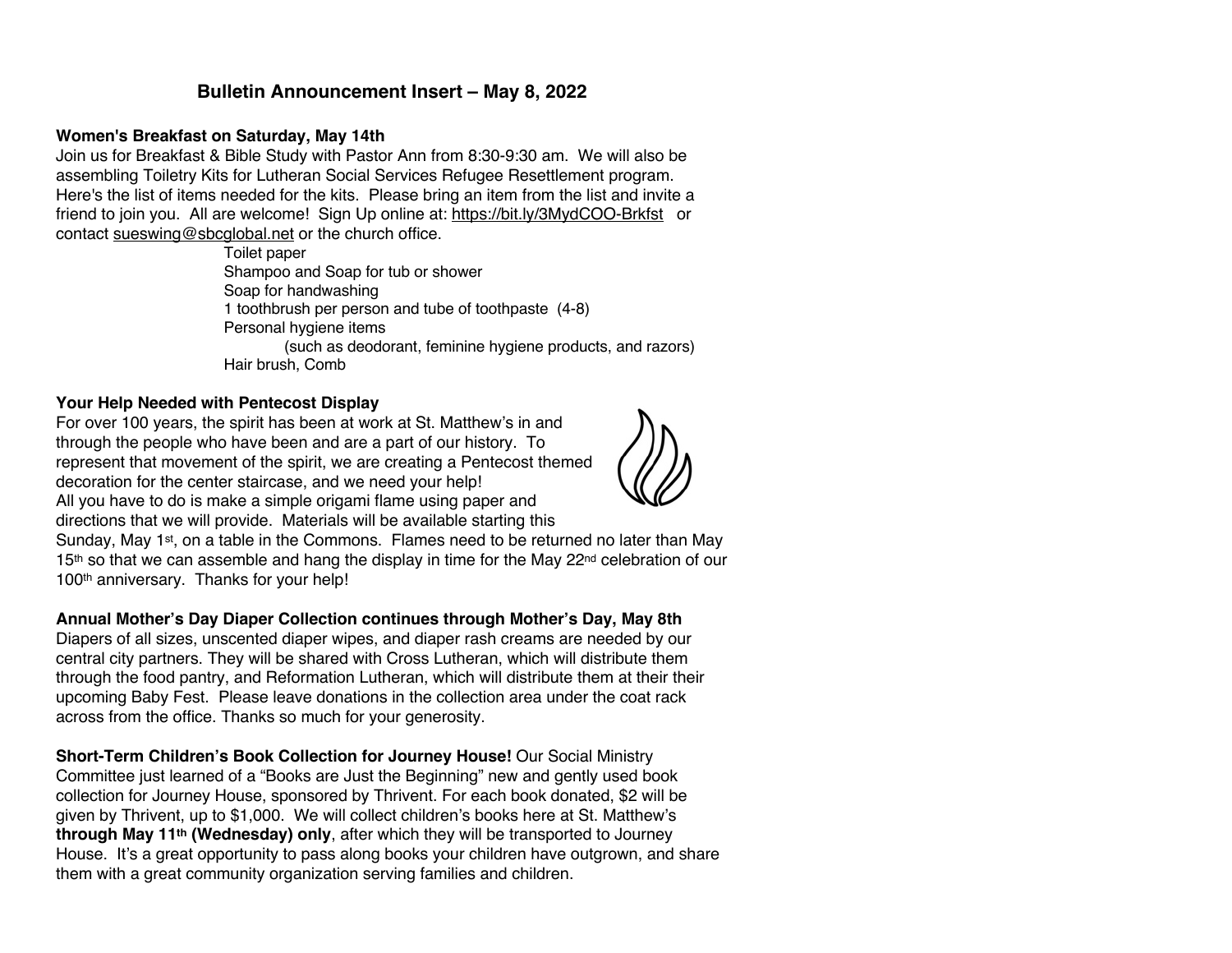# **Bulletin Announcement Insert – May 8, 2022**

#### **Women's Breakfast on Saturday, May 14th**

Join us for Breakfast & Bible Study with Pastor Ann from 8:30-9:30 am. We will also be assembling Toiletry Kits for Lutheran Social Services Refugee Resettlement program. Here's the list of items needed for the kits. Please bring an item from the list and invite a friend to join you. All are welcome! Sign Up online at: https://bit.ly/3MydCOO-Brkfst or contact sueswing@sbcglobal.net or the church office.

Toilet paper Shampoo and Soap for tub or shower Soap for handwashing 1 toothbrush per person and tube of toothpaste (4-8) Personal hygiene items (such as deodorant, feminine hygiene products, and razors) Hair brush, Comb

#### **Your Help Needed with Pentecost Display**

For over 100 years, the spirit has been at work at St. Matthew's in and through the people who have been and are a part of our history. To represent that movement of the spirit, we are creating a Pentecost themed decoration for the center staircase, and we need your help! All you have to do is make a simple origami flame using paper and directions that we will provide. Materials will be available starting this



Sunday, May 1st, on a table in the Commons. Flames need to be returned no later than May 15<sup>th</sup> so that we can assemble and hang the display in time for the May 22<sup>nd</sup> celebration of our 100th anniversary. Thanks for your help!

#### **Annual Mother's Day Diaper Collection continues through Mother's Day, May 8th**

Diapers of all sizes, unscented diaper wipes, and diaper rash creams are needed by our central city partners. They will be shared with Cross Lutheran, which will distribute them through the food pantry, and Reformation Lutheran, which will distribute them at their their upcoming Baby Fest. Please leave donations in the collection area under the coat rack across from the office. Thanks so much for your generosity.

**Short-Term Children's Book Collection for Journey House!** Our Social Ministry Committee just learned of a "Books are Just the Beginning" new and gently used book collection for Journey House, sponsored by Thrivent. For each book donated, \$2 will be given by Thrivent, up to \$1,000. We will collect children's books here at St. Matthew's **through May 11th (Wednesday) only**, after which they will be transported to Journey House. It's a great opportunity to pass along books your children have outgrown, and share them with a great community organization serving families and children.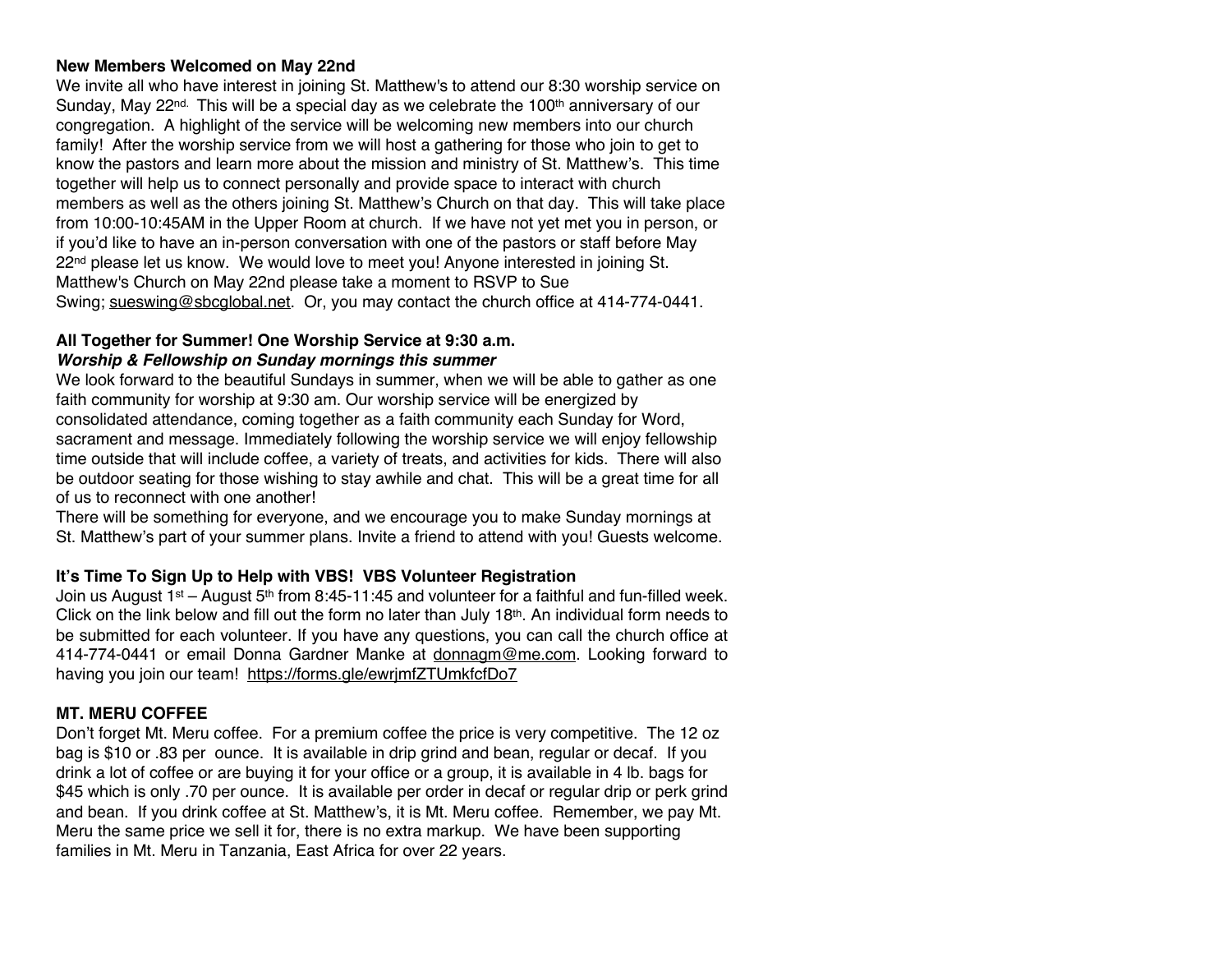#### **New Members Welcomed on May 22nd**

We invite all who have interest in joining St. Matthew's to attend our 8:30 worship service on Sunday, May 22<sup>nd.</sup> This will be a special day as we celebrate the 100<sup>th</sup> anniversary of our congregation. A highlight of the service will be welcoming new members into our church family! After the worship service from we will host a gathering for those who join to get to know the pastors and learn more about the mission and ministry of St. Matthew's. This time together will help us to connect personally and provide space to interact with church members as well as the others joining St. Matthew's Church on that day. This will take place from 10:00-10:45AM in the Upper Room at church. If we have not yet met you in person, or if you'd like to have an in-person conversation with one of the pastors or staff before May  $22<sup>nd</sup>$  please let us know. We would love to meet you! Anyone interested in joining St. Matthew's Church on May 22nd please take a moment to RSVP to Sue Swing; sueswing@sbcglobal.net. Or, you may contact the church office at 414-774-0441.

#### **All Together for Summer! One Worship Service at 9:30 a.m.** *Worship & Fellowship on Sunday mornings this summer*

We look forward to the beautiful Sundays in summer, when we will be able to gather as one faith community for worship at 9:30 am. Our worship service will be energized by consolidated attendance, coming together as a faith community each Sunday for Word, sacrament and message. Immediately following the worship service we will enjoy fellowship time outside that will include coffee, a variety of treats, and activities for kids. There will also be outdoor seating for those wishing to stay awhile and chat. This will be a great time for all of us to reconnect with one another!

There will be something for everyone, and we encourage you to make Sunday mornings at St. Matthew's part of your summer plans. Invite a friend to attend with you! Guests welcome.

## **It's Time To Sign Up to Help with VBS! VBS Volunteer Registration**

Join us August 1st – August  $5<sup>th</sup>$  from 8:45-11:45 and volunteer for a faithful and fun-filled week. Click on the link below and fill out the form no later than July 18<sup>th</sup>. An individual form needs to be submitted for each volunteer. If you have any questions, you can call the church office at 414-774-0441 or email Donna Gardner Manke at donnagm@me.com. Looking forward to having you join our team! https://forms.gle/ewrjmfZTUmkfcfDo7

## **MT. MERU COFFEE**

Don't forget Mt. Meru coffee. For a premium coffee the price is very competitive. The 12 oz bag is \$10 or .83 per ounce. It is available in drip grind and bean, regular or decaf. If you drink a lot of coffee or are buying it for your office or a group, it is available in 4 lb. bags for \$45 which is only .70 per ounce. It is available per order in decaf or regular drip or perk grind and bean. If you drink coffee at St. Matthew's, it is Mt. Meru coffee. Remember, we pay Mt. Meru the same price we sell it for, there is no extra markup. We have been supporting families in Mt. Meru in Tanzania, East Africa for over 22 years.